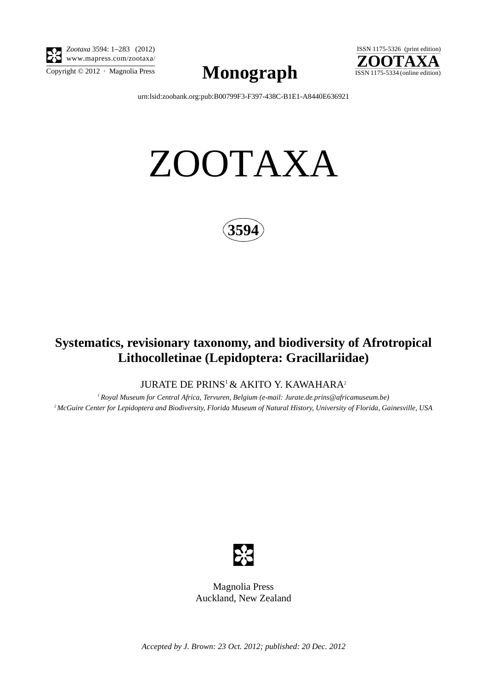

*Zootaxa* 3594: 1–283 (2012) www.mapress.com/zootaxa/

 $\sum_{\text{Copyright © }2012 \text{ } \cdot \text{ Magnolia Press}} \text{Mongraph}$  ISSN 1175-5334 (online edition)



[urn:lsid:zoobank.org:pub:B00799F3-F397-438C-B1E1-A8440E636921](http://zoobank.org/urn:lsid:zoobank.org:pub:B00799F3-F397-438C-B1E1-A8440E636921)

# ZOOTAXA



## **Systematics, revisionary taxonomy, and biodiversity of Afrotropical Lithocolletinae (Lepidoptera: Gracillariidae)**

JURATE DE PRINS<sup>1</sup> & AKITO Y. KAWAHARA<sup>2</sup>

*1 Royal Museum for Central Africa, Tervuren, Belgium (e-mail: Jurate.de.prins@africamuseum.be) 2 McGuire Center for Lepidoptera and Biodiversity, Florida Museum of Natural History, University of Florida, Gainesville, USA*



Magnolia Press Auckland, New Zealand

*Accepted by J. Brown: 23 Oct. 2012; published: 20 Dec. 2012*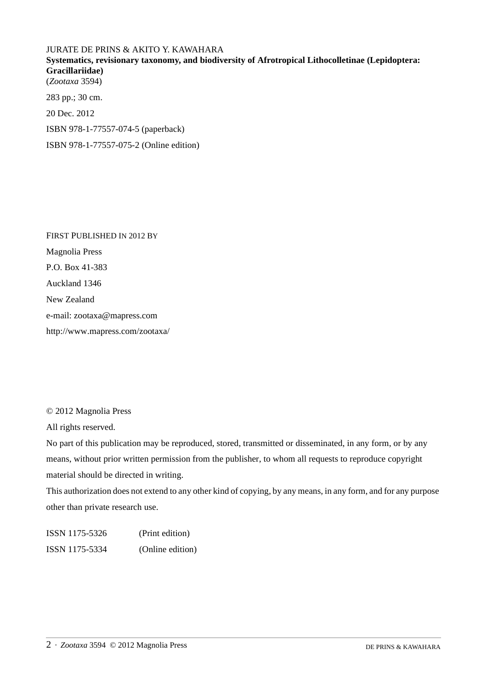## JURATE DE PRINS & AKITO Y. KAWAHARA **Systematics, revisionary taxonomy, and biodiversity of Afrotropical Lithocolletinae (Lepidoptera: Gracillariidae)** (*Zootaxa* 3594) 283 pp.; 30 cm. 20 Dec. 2012

ISBN 978-1-77557-074-5 (paperback)

ISBN 978-1-77557-075-2 (Online edition)

FIRST PUBLISHED IN 2012 BY Magnolia Press P.O. Box 41-383 Auckland 1346 New Zealand e-mail: zootaxa@mapress.com http://www.mapress.com/zootaxa/

© 2012 Magnolia Press

All rights reserved.

No part of this publication may be reproduced, stored, transmitted or disseminated, in any form, or by any means, without prior written permission from the publisher, to whom all requests to reproduce copyright material should be directed in writing.

This authorization does not extend to any other kind of copying, by any means, in any form, and for any purpose other than private research use.

ISSN 1175-5326 (Print edition) ISSN 1175-5334 (Online edition)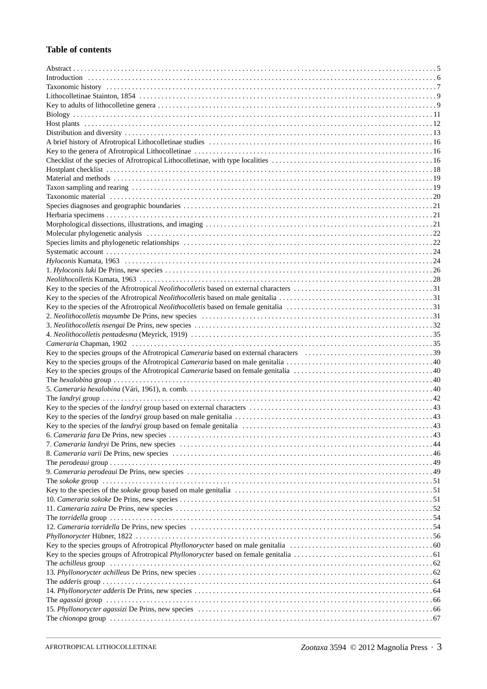#### **Table of contents**